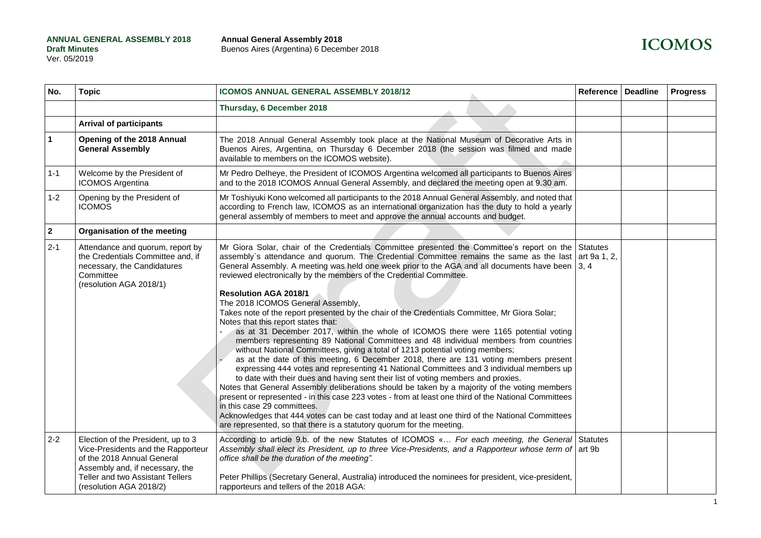| No.            | <b>Topic</b>                                                                                                                                                                                             | <b>ICOMOS ANNUAL GENERAL ASSEMBLY 2018/12</b>                                                                                                                                                                                                                                                                                                                                                                                                                                                                                                                                                                                                                                                                                                                                                                                                                                                                                                                                                                                                                                                                                                                                                                                                                                                                                                                                                                                                                                                                                                                      | Reference | <b>Deadline</b> | <b>Progress</b> |
|----------------|----------------------------------------------------------------------------------------------------------------------------------------------------------------------------------------------------------|--------------------------------------------------------------------------------------------------------------------------------------------------------------------------------------------------------------------------------------------------------------------------------------------------------------------------------------------------------------------------------------------------------------------------------------------------------------------------------------------------------------------------------------------------------------------------------------------------------------------------------------------------------------------------------------------------------------------------------------------------------------------------------------------------------------------------------------------------------------------------------------------------------------------------------------------------------------------------------------------------------------------------------------------------------------------------------------------------------------------------------------------------------------------------------------------------------------------------------------------------------------------------------------------------------------------------------------------------------------------------------------------------------------------------------------------------------------------------------------------------------------------------------------------------------------------|-----------|-----------------|-----------------|
|                |                                                                                                                                                                                                          | Thursday, 6 December 2018                                                                                                                                                                                                                                                                                                                                                                                                                                                                                                                                                                                                                                                                                                                                                                                                                                                                                                                                                                                                                                                                                                                                                                                                                                                                                                                                                                                                                                                                                                                                          |           |                 |                 |
|                | <b>Arrival of participants</b>                                                                                                                                                                           |                                                                                                                                                                                                                                                                                                                                                                                                                                                                                                                                                                                                                                                                                                                                                                                                                                                                                                                                                                                                                                                                                                                                                                                                                                                                                                                                                                                                                                                                                                                                                                    |           |                 |                 |
| $\mathbf{1}$   | Opening of the 2018 Annual<br><b>General Assembly</b>                                                                                                                                                    | The 2018 Annual General Assembly took place at the National Museum of Decorative Arts in<br>Buenos Aires, Argentina, on Thursday 6 December 2018 (the session was filmed and made<br>available to members on the ICOMOS website).                                                                                                                                                                                                                                                                                                                                                                                                                                                                                                                                                                                                                                                                                                                                                                                                                                                                                                                                                                                                                                                                                                                                                                                                                                                                                                                                  |           |                 |                 |
| $1 - 1$        | Welcome by the President of<br>ICOMOS Argentina                                                                                                                                                          | Mr Pedro Delheye, the President of ICOMOS Argentina welcomed all participants to Buenos Aires<br>and to the 2018 ICOMOS Annual General Assembly, and declared the meeting open at 9.30 am.                                                                                                                                                                                                                                                                                                                                                                                                                                                                                                                                                                                                                                                                                                                                                                                                                                                                                                                                                                                                                                                                                                                                                                                                                                                                                                                                                                         |           |                 |                 |
| $1 - 2$        | Opening by the President of<br><b>ICOMOS</b>                                                                                                                                                             | Mr Toshiyuki Kono welcomed all participants to the 2018 Annual General Assembly, and noted that<br>according to French law, ICOMOS as an international organization has the duty to hold a yearly<br>general assembly of members to meet and approve the annual accounts and budget.                                                                                                                                                                                                                                                                                                                                                                                                                                                                                                                                                                                                                                                                                                                                                                                                                                                                                                                                                                                                                                                                                                                                                                                                                                                                               |           |                 |                 |
| $\overline{2}$ | Organisation of the meeting                                                                                                                                                                              |                                                                                                                                                                                                                                                                                                                                                                                                                                                                                                                                                                                                                                                                                                                                                                                                                                                                                                                                                                                                                                                                                                                                                                                                                                                                                                                                                                                                                                                                                                                                                                    |           |                 |                 |
| $2 - 1$        | Attendance and quorum, report by<br>the Credentials Committee and, if<br>necessary, the Candidatures<br>Committee<br>(resolution AGA 2018/1)                                                             | Mr Giora Solar, chair of the Credentials Committee presented the Committee's report on the Statutes<br>assembly's attendance and quorum. The Credential Committee remains the same as the last art 9a 1, 2,<br>General Assembly. A meeting was held one week prior to the AGA and all documents have been   3, 4<br>reviewed electronically by the members of the Credential Committee.<br><b>Resolution AGA 2018/1</b><br>The 2018 ICOMOS General Assembly,<br>Takes note of the report presented by the chair of the Credentials Committee, Mr Giora Solar;<br>Notes that this report states that:<br>as at 31 December 2017, within the whole of ICOMOS there were 1165 potential voting<br>members representing 89 National Committees and 48 individual members from countries<br>without National Committees, giving a total of 1213 potential voting members;<br>as at the date of this meeting, 6 December 2018, there are 131 voting members present<br>expressing 444 votes and representing 41 National Committees and 3 individual members up<br>to date with their dues and having sent their list of voting members and proxies.<br>Notes that General Assembly deliberations should be taken by a majority of the voting members<br>present or represented - in this case 223 votes - from at least one third of the National Committees<br>in this case 29 committees.<br>Acknowledges that 444 votes can be cast today and at least one third of the National Committees<br>are represented, so that there is a statutory quorum for the meeting. |           |                 |                 |
| $2 - 2$        | Election of the President, up to 3<br>Vice-Presidents and the Rapporteur<br>of the 2018 Annual General<br>Assembly and, if necessary, the<br>Teller and two Assistant Tellers<br>(resolution AGA 2018/2) | According to article 9.b. of the new Statutes of ICOMOS « For each meeting, the General Statutes<br>Assembly shall elect its President, up to three Vice-Presidents, and a Rapporteur whose term of art 9b<br>office shall be the duration of the meeting".<br>Peter Phillips (Secretary General, Australia) introduced the nominees for president, vice-president,<br>rapporteurs and tellers of the 2018 AGA:                                                                                                                                                                                                                                                                                                                                                                                                                                                                                                                                                                                                                                                                                                                                                                                                                                                                                                                                                                                                                                                                                                                                                    |           |                 |                 |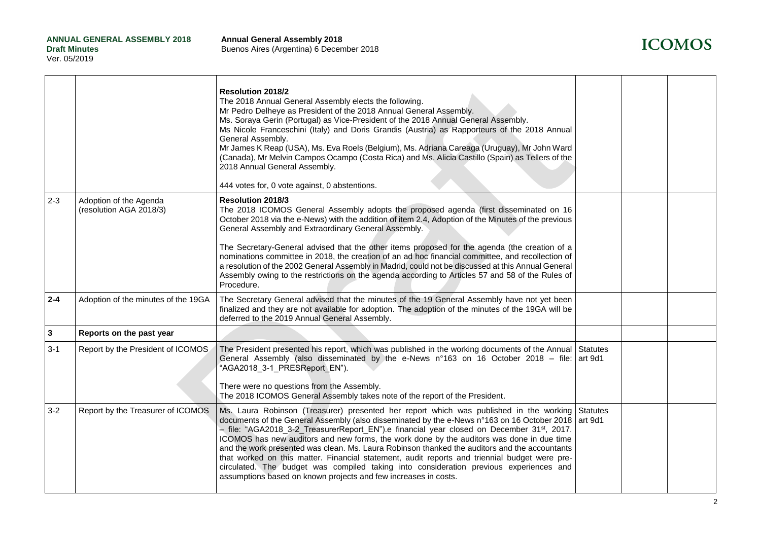# **ICOMOS**

|                         |                                                   | Resolution 2018/2<br>The 2018 Annual General Assembly elects the following.<br>Mr Pedro Delheye as President of the 2018 Annual General Assembly.<br>Ms. Soraya Gerin (Portugal) as Vice-President of the 2018 Annual General Assembly.<br>Ms Nicole Franceschini (Italy) and Doris Grandis (Austria) as Rapporteurs of the 2018 Annual<br>General Assembly.<br>Mr James K Reap (USA), Ms. Eva Roels (Belgium), Ms. Adriana Careaga (Uruguay), Mr John Ward<br>(Canada), Mr Melvin Campos Ocampo (Costa Rica) and Ms. Alicia Castillo (Spain) as Tellers of the<br>2018 Annual General Assembly.<br>444 votes for, 0 vote against, 0 abstentions.                                                                                                           |                            |  |
|-------------------------|---------------------------------------------------|-------------------------------------------------------------------------------------------------------------------------------------------------------------------------------------------------------------------------------------------------------------------------------------------------------------------------------------------------------------------------------------------------------------------------------------------------------------------------------------------------------------------------------------------------------------------------------------------------------------------------------------------------------------------------------------------------------------------------------------------------------------|----------------------------|--|
| $2 - 3$                 | Adoption of the Agenda<br>(resolution AGA 2018/3) | Resolution 2018/3<br>The 2018 ICOMOS General Assembly adopts the proposed agenda (first disseminated on 16<br>October 2018 via the e-News) with the addition of item 2.4, Adoption of the Minutes of the previous<br>General Assembly and Extraordinary General Assembly.<br>The Secretary-General advised that the other items proposed for the agenda (the creation of a<br>nominations committee in 2018, the creation of an ad hoc financial committee, and recollection of<br>a resolution of the 2002 General Assembly in Madrid, could not be discussed at this Annual General<br>Assembly owing to the restrictions on the agenda according to Articles 57 and 58 of the Rules of<br>Procedure.                                                     |                            |  |
| $2 - 4$                 | Adoption of the minutes of the 19GA               | The Secretary General advised that the minutes of the 19 General Assembly have not yet been<br>finalized and they are not available for adoption. The adoption of the minutes of the 19GA will be<br>deferred to the 2019 Annual General Assembly.                                                                                                                                                                                                                                                                                                                                                                                                                                                                                                          |                            |  |
| $\overline{\mathbf{3}}$ | Reports on the past year                          |                                                                                                                                                                                                                                                                                                                                                                                                                                                                                                                                                                                                                                                                                                                                                             |                            |  |
| $3 - 1$                 | Report by the President of ICOMOS                 | The President presented his report, which was published in the working documents of the Annual<br>General Assembly (also disseminated by the e-News n°163 on 16 October 2018 – file: art 9d1<br>"AGA2018_3-1_PRESReport_EN").<br>There were no questions from the Assembly.<br>The 2018 ICOMOS General Assembly takes note of the report of the President.                                                                                                                                                                                                                                                                                                                                                                                                  | <b>Statutes</b>            |  |
| $3 - 2$                 | Report by the Treasurer of ICOMOS                 | Ms. Laura Robinson (Treasurer) presented her report which was published in the working<br>documents of the General Assembly (also disseminated by the e-News n°163 on 16 October 2018<br>- file: "AGA2018_3-2_TreasurerReport_EN").e financial year closed on December 31 <sup>st</sup> , 2017.<br>ICOMOS has new auditors and new forms, the work done by the auditors was done in due time<br>and the work presented was clean. Ms. Laura Robinson thanked the auditors and the accountants<br>that worked on this matter. Financial statement, audit reports and triennial budget were pre-<br>circulated. The budget was compiled taking into consideration previous experiences and<br>assumptions based on known projects and few increases in costs. | <b>Statutes</b><br>art 9d1 |  |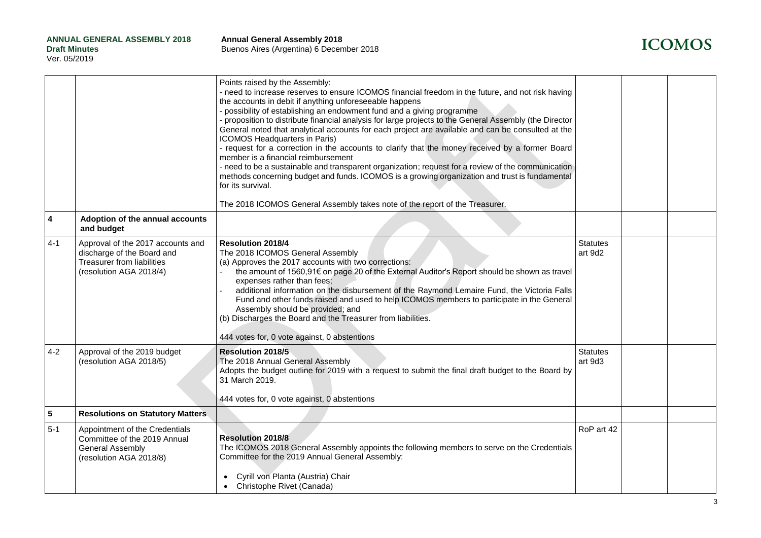

|                         |                                                                                                                          | Points raised by the Assembly:<br>- need to increase reserves to ensure ICOMOS financial freedom in the future, and not risk having<br>the accounts in debit if anything unforeseeable happens<br>- possibility of establishing an endowment fund and a giving programme<br>proposition to distribute financial analysis for large projects to the General Assembly (the Director<br>General noted that analytical accounts for each project are available and can be consulted at the<br>ICOMOS Headquarters in Paris)<br>- request for a correction in the accounts to clarify that the money received by a former Board<br>member is a financial reimbursement<br>- need to be a sustainable and transparent organization; request for a review of the communication<br>methods concerning budget and funds. ICOMOS is a growing organization and trust is fundamental<br>for its survival.<br>The 2018 ICOMOS General Assembly takes note of the report of the Treasurer. |                            |  |
|-------------------------|--------------------------------------------------------------------------------------------------------------------------|-------------------------------------------------------------------------------------------------------------------------------------------------------------------------------------------------------------------------------------------------------------------------------------------------------------------------------------------------------------------------------------------------------------------------------------------------------------------------------------------------------------------------------------------------------------------------------------------------------------------------------------------------------------------------------------------------------------------------------------------------------------------------------------------------------------------------------------------------------------------------------------------------------------------------------------------------------------------------------|----------------------------|--|
| $\overline{\mathbf{4}}$ | Adoption of the annual accounts<br>and budget                                                                            |                                                                                                                                                                                                                                                                                                                                                                                                                                                                                                                                                                                                                                                                                                                                                                                                                                                                                                                                                                               |                            |  |
| $4 - 1$                 | Approval of the 2017 accounts and<br>discharge of the Board and<br>Treasurer from liabilities<br>(resolution AGA 2018/4) | <b>Resolution 2018/4</b><br>The 2018 ICOMOS General Assembly<br>(a) Approves the 2017 accounts with two corrections:<br>the amount of 1560,91€ on page 20 of the External Auditor's Report should be shown as travel<br>expenses rather than fees;<br>additional information on the disbursement of the Raymond Lemaire Fund, the Victoria Falls<br>Fund and other funds raised and used to help ICOMOS members to participate in the General<br>Assembly should be provided; and<br>(b) Discharges the Board and the Treasurer from liabilities.<br>444 votes for, 0 vote against, 0 abstentions                                                                                                                                                                                                                                                                                                                                                                             | <b>Statutes</b><br>art 9d2 |  |
| $4 - 2$                 | Approval of the 2019 budget<br>(resolution AGA 2018/5)                                                                   | Resolution 2018/5<br>The 2018 Annual General Assembly<br>Adopts the budget outline for 2019 with a request to submit the final draft budget to the Board by<br>31 March 2019.<br>444 votes for, 0 vote against, 0 abstentions                                                                                                                                                                                                                                                                                                                                                                                                                                                                                                                                                                                                                                                                                                                                                 | <b>Statutes</b><br>art 9d3 |  |
| $5\phantom{a}$          | <b>Resolutions on Statutory Matters</b>                                                                                  |                                                                                                                                                                                                                                                                                                                                                                                                                                                                                                                                                                                                                                                                                                                                                                                                                                                                                                                                                                               |                            |  |
| $5 - 1$                 | Appointment of the Credentials<br>Committee of the 2019 Annual<br><b>General Assembly</b><br>(resolution AGA 2018/8)     | <b>Resolution 2018/8</b><br>The ICOMOS 2018 General Assembly appoints the following members to serve on the Credentials<br>Committee for the 2019 Annual General Assembly:<br>Cyrill von Planta (Austria) Chair<br>• Christophe Rivet (Canada)                                                                                                                                                                                                                                                                                                                                                                                                                                                                                                                                                                                                                                                                                                                                | RoP art 42                 |  |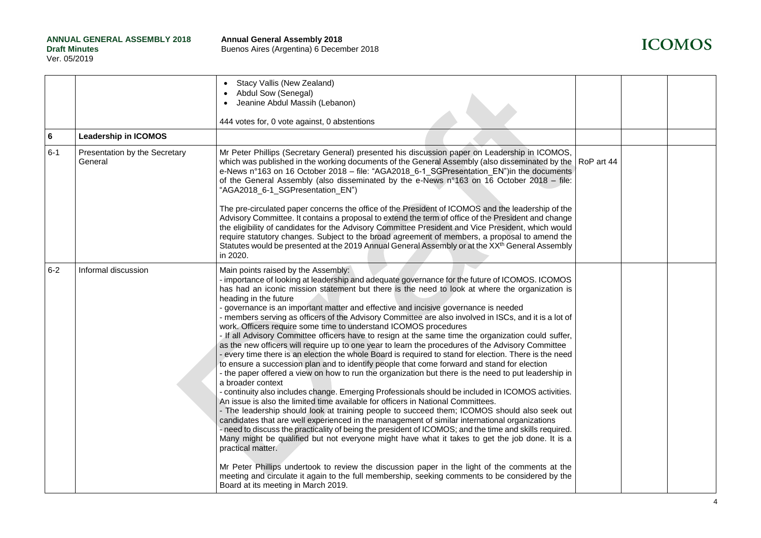| <b>ICOMOS</b> |  |
|---------------|--|
|---------------|--|

|         |                                          | Stacy Vallis (New Zealand)<br>Abdul Sow (Senegal)<br>Jeanine Abdul Massih (Lebanon)<br>444 votes for, 0 vote against, 0 abstentions                                                                                                                                                                                                                                                                                                                                                                                                                                                                                                                                                                                                                                                                                                                                                                                                                                                                                                                                                                                                                                                                                                                                                                                                                                                                                                                                                                                                                                                                                                                                                                                                                                                                                                                                                                                                                          |  |  |
|---------|------------------------------------------|--------------------------------------------------------------------------------------------------------------------------------------------------------------------------------------------------------------------------------------------------------------------------------------------------------------------------------------------------------------------------------------------------------------------------------------------------------------------------------------------------------------------------------------------------------------------------------------------------------------------------------------------------------------------------------------------------------------------------------------------------------------------------------------------------------------------------------------------------------------------------------------------------------------------------------------------------------------------------------------------------------------------------------------------------------------------------------------------------------------------------------------------------------------------------------------------------------------------------------------------------------------------------------------------------------------------------------------------------------------------------------------------------------------------------------------------------------------------------------------------------------------------------------------------------------------------------------------------------------------------------------------------------------------------------------------------------------------------------------------------------------------------------------------------------------------------------------------------------------------------------------------------------------------------------------------------------------------|--|--|
| 6       | <b>Leadership in ICOMOS</b>              |                                                                                                                                                                                                                                                                                                                                                                                                                                                                                                                                                                                                                                                                                                                                                                                                                                                                                                                                                                                                                                                                                                                                                                                                                                                                                                                                                                                                                                                                                                                                                                                                                                                                                                                                                                                                                                                                                                                                                              |  |  |
| $6 - 1$ | Presentation by the Secretary<br>General | Mr Peter Phillips (Secretary General) presented his discussion paper on Leadership in ICOMOS,<br>which was published in the working documents of the General Assembly (also disseminated by the RoP art 44<br>e-News n°163 on 16 October 2018 - file: "AGA2018_6-1 SGPresentation EN")in the documents<br>of the General Assembly (also disseminated by the e-News n°163 on 16 October 2018 – file:<br>"AGA2018_6-1_SGPresentation_EN")                                                                                                                                                                                                                                                                                                                                                                                                                                                                                                                                                                                                                                                                                                                                                                                                                                                                                                                                                                                                                                                                                                                                                                                                                                                                                                                                                                                                                                                                                                                      |  |  |
|         |                                          | The pre-circulated paper concerns the office of the President of ICOMOS and the leadership of the<br>Advisory Committee. It contains a proposal to extend the term of office of the President and change<br>the eligibility of candidates for the Advisory Committee President and Vice President, which would<br>require statutory changes. Subject to the broad agreement of members, a proposal to amend the<br>Statutes would be presented at the 2019 Annual General Assembly or at the XX <sup>th</sup> General Assembly<br>in 2020.                                                                                                                                                                                                                                                                                                                                                                                                                                                                                                                                                                                                                                                                                                                                                                                                                                                                                                                                                                                                                                                                                                                                                                                                                                                                                                                                                                                                                   |  |  |
| $6-2$   | Informal discussion                      | Main points raised by the Assembly:<br>- importance of looking at leadership and adequate governance for the future of ICOMOS. ICOMOS<br>has had an iconic mission statement but there is the need to look at where the organization is<br>heading in the future<br>- governance is an important matter and effective and incisive governance is needed<br>- members serving as officers of the Advisory Committee are also involved in ISCs, and it is a lot of<br>work. Officers require some time to understand ICOMOS procedures<br>- If all Advisory Committee officers have to resign at the same time the organization could suffer,<br>as the new officers will require up to one year to learn the procedures of the Advisory Committee<br>- every time there is an election the whole Board is required to stand for election. There is the need<br>to ensure a succession plan and to identify people that come forward and stand for election<br>the paper offered a view on how to run the organization but there is the need to put leadership in<br>a broader context<br>- continuity also includes change. Emerging Professionals should be included in ICOMOS activities.<br>An issue is also the limited time available for officers in National Committees.<br>- The leadership should look at training people to succeed them; ICOMOS should also seek out<br>candidates that are well experienced in the management of similar international organizations<br>- need to discuss the practicality of being the president of ICOMOS; and the time and skills required.<br>Many might be qualified but not everyone might have what it takes to get the job done. It is a<br>practical matter.<br>Mr Peter Phillips undertook to review the discussion paper in the light of the comments at the<br>meeting and circulate it again to the full membership, seeking comments to be considered by the<br>Board at its meeting in March 2019. |  |  |